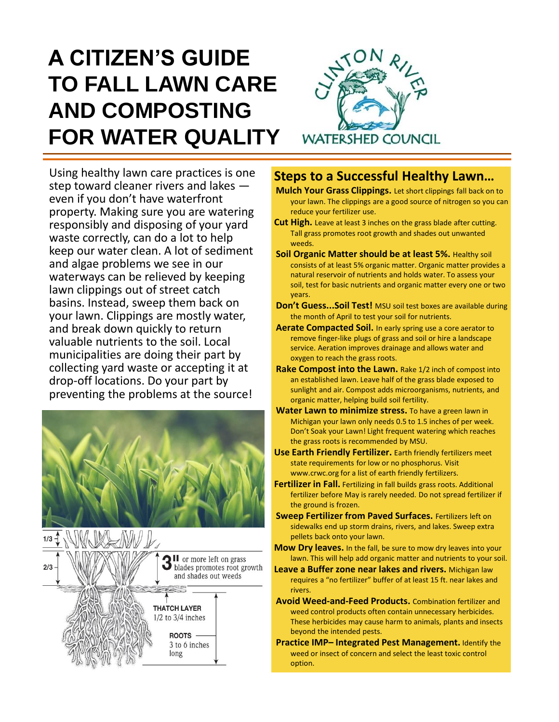# **A CITIZEN'S GUIDE TO FALL LAWN CARE AND COMPOSTING FOR WATER QUALITY**



Using healthy lawn care practices is one step toward cleaner rivers and lakes even if you don't have waterfront property. Making sure you are watering responsibly and disposing of your yard waste correctly, can do a lot to help keep our water clean. A lot of sediment and algae problems we see in our waterways can be relieved by keeping lawn clippings out of street catch basins. Instead, sweep them back on your lawn. Clippings are mostly water, and break down quickly to return valuable nutrients to the soil. Local municipalities are doing their part by collecting yard waste or accepting it at drop-off locations. Do your part by preventing the problems at the source!





### **Steps to a Successful Healthy Lawn…**

- **Mulch Your Grass Clippings.** Let short clippings fall back on to your lawn. The clippings are a good source of nitrogen so you can reduce your fertilizer use.
- **Cut High.** Leave at least 3 inches on the grass blade after cutting. Tall grass promotes root growth and shades out unwanted weeds.
- **Soil Organic Matter should be at least 5%.** Healthy soil consists of at least 5% organic matter. Organic matter provides a natural reservoir of nutrients and holds water. To assess your soil, test for basic nutrients and organic matter every one or two years.
- **Don't Guess...Soil Test!** MSU soil test boxes are available during the month of April to test your soil for nutrients.
- **Aerate Compacted Soil.** In early spring use a core aerator to remove finger-like plugs of grass and soil or hire a landscape service. Aeration improves drainage and allows water and oxygen to reach the grass roots.
- **Rake Compost into the Lawn.** Rake 1/2 inch of compost into an established lawn. Leave half of the grass blade exposed to sunlight and air. Compost adds microorganisms, nutrients, and organic matter, helping build soil fertility.
- **Water Lawn to minimize stress.** To have a green lawn in Michigan your lawn only needs 0.5 to 1.5 inches of per week. Don't Soak your Lawn! Light frequent watering which reaches the grass roots is recommended by MSU.
- **Use Earth Friendly Fertilizer.** Earth friendly fertilizers meet state requirements for low or no phosphorus. Visit www.crwc.org for a list of earth friendly fertilizers.
- Fertilizer in Fall. Fertilizing in fall builds grass roots. Additional fertilizer before May is rarely needed. Do not spread fertilizer if the ground is frozen.
- **Sweep Fertilizer from Paved Surfaces.** Fertilizers left on sidewalks end up storm drains, rivers, and lakes. Sweep extra pellets back onto your lawn.
- **Mow Dry leaves.** In the fall, be sure to mow dry leaves into your lawn. This will help add organic matter and nutrients to your soil.
- **Leave a Buffer zone near lakes and rivers.** Michigan law requires a "no fertilizer" buffer of at least 15 ft. near lakes and rivers.
- **Avoid Weed-and-Feed Products.** Combination fertilizer and weed control products often contain unnecessary herbicides. These herbicides may cause harm to animals, plants and insects beyond the intended pests.
- **Practice IMP– Integrated Pest Management.** Identify the weed or insect of concern and select the least toxic control option.